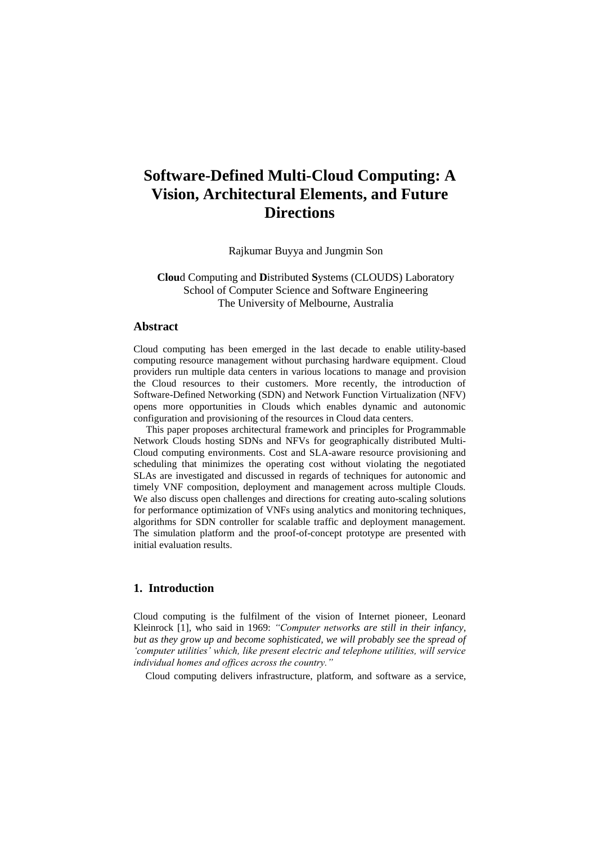# **Software-Defined Multi-Cloud Computing: A Vision, Architectural Elements, and Future Directions**

Rajkumar Buyya and Jungmin Son

# **Clou**d Computing and **D**istributed **S**ystems (CLOUDS) Laboratory School of Computer Science and Software Engineering The University of Melbourne, Australia

# **Abstract**

Cloud computing has been emerged in the last decade to enable utility-based computing resource management without purchasing hardware equipment. Cloud providers run multiple data centers in various locations to manage and provision the Cloud resources to their customers. More recently, the introduction of Software-Defined Networking (SDN) and Network Function Virtualization (NFV) opens more opportunities in Clouds which enables dynamic and autonomic configuration and provisioning of the resources in Cloud data centers.

 This paper proposes architectural framework and principles for Programmable Network Clouds hosting SDNs and NFVs for geographically distributed Multi-Cloud computing environments. Cost and SLA-aware resource provisioning and scheduling that minimizes the operating cost without violating the negotiated SLAs are investigated and discussed in regards of techniques for autonomic and timely VNF composition, deployment and management across multiple Clouds. We also discuss open challenges and directions for creating auto-scaling solutions for performance optimization of VNFs using analytics and monitoring techniques, algorithms for SDN controller for scalable traffic and deployment management. The simulation platform and the proof-of-concept prototype are presented with initial evaluation results.

# **1. Introduction**

Cloud computing is the fulfilment of the vision of Internet pioneer, Leonard Kleinrock [\[1\],](#page-14-0) who said in 1969: *"Computer networks are still in their infancy, but as they grow up and become sophisticated, we will probably see the spread of 'computer utilities' which, like present electric and telephone utilities, will service individual homes and offices across the country."* 

Cloud computing delivers infrastructure, platform, and software as a service,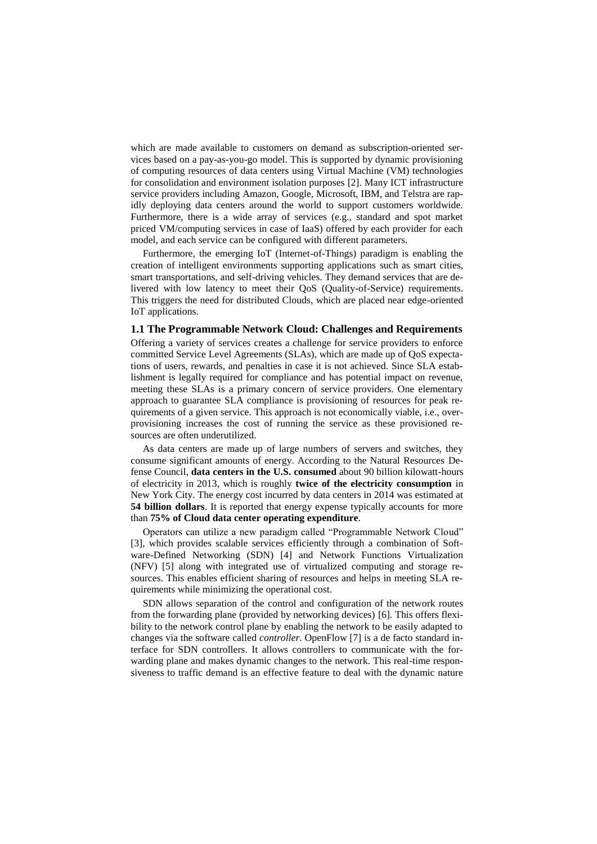which are made available to customers on demand as subscription-oriented services based on a pay-as-you-go model. This is supported by dynamic provisioning of computing resources of data centers using Virtual Machine (VM) technologies for consolidation and environment isolation purposes [\[2\].](#page-14-1) Many ICT infrastructure service providers including Amazon, Google, Microsoft, IBM, and Telstra are rapidly deploying data centers around the world to support customers worldwide. Furthermore, there is a wide array of services (e.g., standard and spot market priced VM/computing services in case of IaaS) offered by each provider for each model, and each service can be configured with different parameters.

Furthermore, the emerging IoT (Internet-of-Things) paradigm is enabling the creation of intelligent environments supporting applications such as smart cities, smart transportations, and self-driving vehicles. They demand services that are delivered with low latency to meet their QoS (Quality-of-Service) requirements. This triggers the need for distributed Clouds, which are placed near edge-oriented IoT applications.

#### **1.1 The Programmable Network Cloud: Challenges and Requirements**

Offering a variety of services creates a challenge for service providers to enforce committed Service Level Agreements (SLAs), which are made up of QoS expectations of users, rewards, and penalties in case it is not achieved. Since SLA establishment is legally required for compliance and has potential impact on revenue, meeting these SLAs is a primary concern of service providers. One elementary approach to guarantee SLA compliance is provisioning of resources for peak requirements of a given service. This approach is not economically viable, i.e., overprovisioning increases the cost of running the service as these provisioned resources are often underutilized.

As data centers are made up of large numbers of servers and switches, they consume significant amounts of energy. According to the Natural Resources Defense Council, **data centers in the U.S. consumed** about 90 billion kilowatt-hours of electricity in 2013, which is roughly **twice of the electricity consumption** in New York City. The energy cost incurred by data centers in 2014 was estimated at **54 billion dollars**. It is reported that energy expense typically accounts for more than **75% of Cloud data center operating expenditure**.

Operators can utilize a new paradigm called "Programmable Network Cloud" [\[3\],](#page-14-2) which provides scalable services efficiently through a combination of Software-Defined Networking (SDN) [\[4\]](#page-14-3) and Network Functions Virtualization (NFV) [\[5\]](#page-14-4) along with integrated use of virtualized computing and storage resources. This enables efficient sharing of resources and helps in meeting SLA requirements while minimizing the operational cost.

SDN allows separation of the control and configuration of the network routes from the forwarding plane (provided by networking devices) [\[6\].](#page-14-5) This offers flexibility to the network control plane by enabling the network to be easily adapted to changes via the software called *controller*. OpenFlow [\[7\]](#page-14-6) is a de facto standard interface for SDN controllers. It allows controllers to communicate with the forwarding plane and makes dynamic changes to the network. This real-time responsiveness to traffic demand is an effective feature to deal with the dynamic nature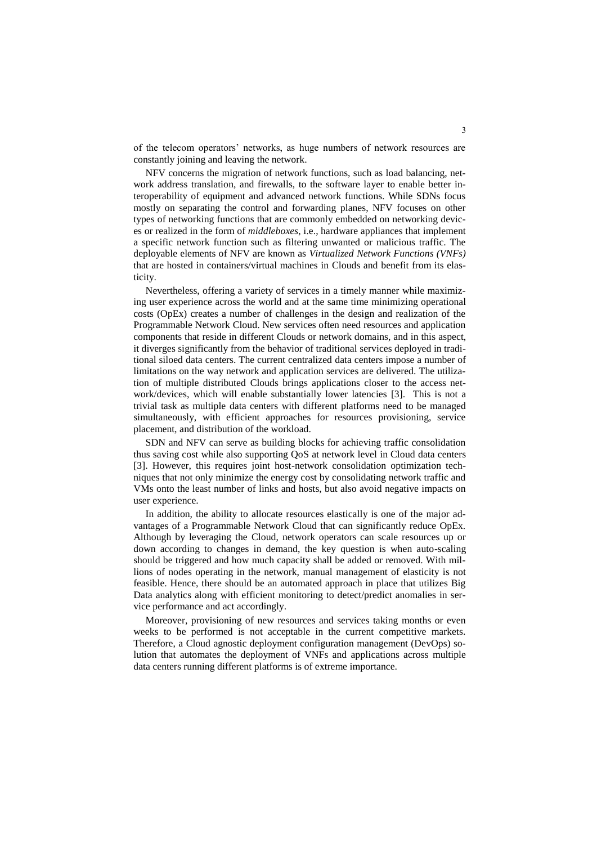of the telecom operators' networks, as huge numbers of network resources are constantly joining and leaving the network.

NFV concerns the migration of network functions, such as load balancing, network address translation, and firewalls, to the software layer to enable better interoperability of equipment and advanced network functions. While SDNs focus mostly on separating the control and forwarding planes, NFV focuses on other types of networking functions that are commonly embedded on networking devices or realized in the form of *middleboxes*, i.e., hardware appliances that implement a specific network function such as filtering unwanted or malicious traffic. The deployable elements of NFV are known as *Virtualized Network Functions (VNFs)* that are hosted in containers/virtual machines in Clouds and benefit from its elasticity.

Nevertheless, offering a variety of services in a timely manner while maximizing user experience across the world and at the same time minimizing operational costs (OpEx) creates a number of challenges in the design and realization of the Programmable Network Cloud. New services often need resources and application components that reside in different Clouds or network domains, and in this aspect, it diverges significantly from the behavior of traditional services deployed in traditional siloed data centers. The current centralized data centers impose a number of limitations on the way network and application services are delivered. The utilization of multiple distributed Clouds brings applications closer to the access network/devices, which will enable substantially lower latencies [\[3\].](#page-14-2) This is not a trivial task as multiple data centers with different platforms need to be managed simultaneously, with efficient approaches for resources provisioning, service placement, and distribution of the workload.

SDN and NFV can serve as building blocks for achieving traffic consolidation thus saving cost while also supporting QoS at network level in Cloud data centers [\[3\].](#page-14-2) However, this requires joint host-network consolidation optimization techniques that not only minimize the energy cost by consolidating network traffic and VMs onto the least number of links and hosts, but also avoid negative impacts on user experience.

In addition, the ability to allocate resources elastically is one of the major advantages of a Programmable Network Cloud that can significantly reduce OpEx. Although by leveraging the Cloud, network operators can scale resources up or down according to changes in demand, the key question is when auto-scaling should be triggered and how much capacity shall be added or removed. With millions of nodes operating in the network, manual management of elasticity is not feasible. Hence, there should be an automated approach in place that utilizes Big Data analytics along with efficient monitoring to detect/predict anomalies in service performance and act accordingly.

Moreover, provisioning of new resources and services taking months or even weeks to be performed is not acceptable in the current competitive markets. Therefore, a Cloud agnostic deployment configuration management (DevOps) solution that automates the deployment of VNFs and applications across multiple data centers running different platforms is of extreme importance.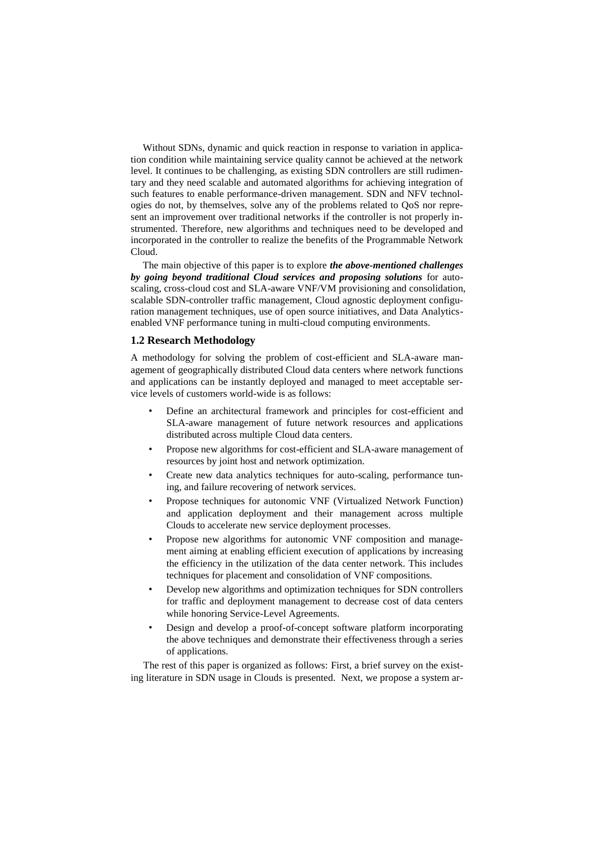Without SDNs, dynamic and quick reaction in response to variation in application condition while maintaining service quality cannot be achieved at the network level. It continues to be challenging, as existing SDN controllers are still rudimentary and they need scalable and automated algorithms for achieving integration of such features to enable performance-driven management. SDN and NFV technologies do not, by themselves, solve any of the problems related to QoS nor represent an improvement over traditional networks if the controller is not properly instrumented. Therefore, new algorithms and techniques need to be developed and incorporated in the controller to realize the benefits of the Programmable Network Cloud.

The main objective of this paper is to explore *the above-mentioned challenges by going beyond traditional Cloud services and proposing solutions* for autoscaling, cross-cloud cost and SLA-aware VNF/VM provisioning and consolidation, scalable SDN-controller traffic management, Cloud agnostic deployment configuration management techniques, use of open source initiatives, and Data Analyticsenabled VNF performance tuning in multi-cloud computing environments.

## **1.2 Research Methodology**

A methodology for solving the problem of cost-efficient and SLA-aware management of geographically distributed Cloud data centers where network functions and applications can be instantly deployed and managed to meet acceptable service levels of customers world-wide is as follows:

- Define an architectural framework and principles for cost-efficient and SLA-aware management of future network resources and applications distributed across multiple Cloud data centers.
- Propose new algorithms for cost-efficient and SLA-aware management of resources by joint host and network optimization.
- Create new data analytics techniques for auto-scaling, performance tuning, and failure recovering of network services.
- Propose techniques for autonomic VNF (Virtualized Network Function) and application deployment and their management across multiple Clouds to accelerate new service deployment processes.
- Propose new algorithms for autonomic VNF composition and management aiming at enabling efficient execution of applications by increasing the efficiency in the utilization of the data center network. This includes techniques for placement and consolidation of VNF compositions.
- Develop new algorithms and optimization techniques for SDN controllers for traffic and deployment management to decrease cost of data centers while honoring Service-Level Agreements.
- Design and develop a proof-of-concept software platform incorporating the above techniques and demonstrate their effectiveness through a series of applications.

 The rest of this paper is organized as follows: First, a brief survey on the existing literature in SDN usage in Clouds is presented. Next, we propose a system ar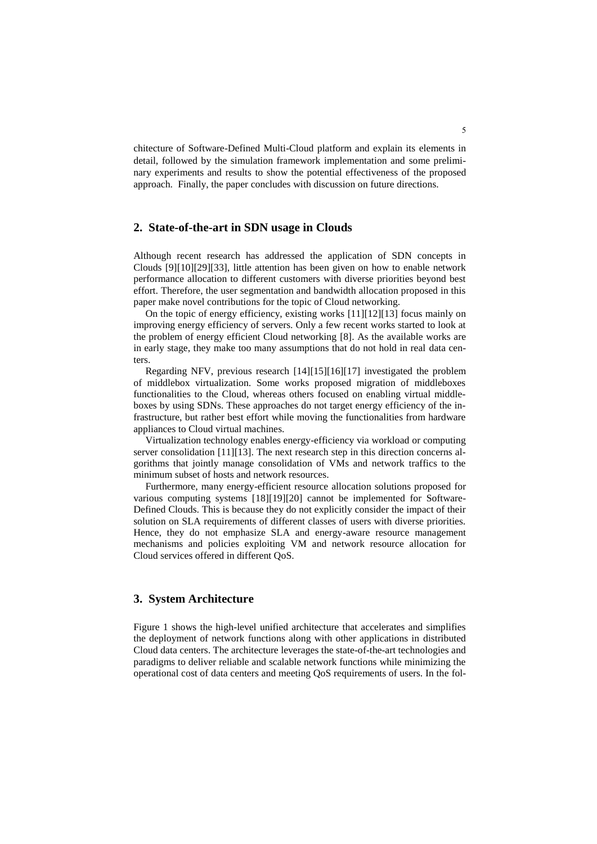chitecture of Software-Defined Multi-Cloud platform and explain its elements in detail, followed by the simulation framework implementation and some preliminary experiments and results to show the potential effectiveness of the proposed approach. Finally, the paper concludes with discussion on future directions.

## **2. State-of-the-art in SDN usage in Clouds**

Although recent research has addressed the application of SDN concepts in Clouds [\[9\]](#page-14-7)[\[10\]](#page-14-8)[\[29\]](#page-15-0)[\[33\],](#page-15-1) little attention has been given on how to enable network performance allocation to different customers with diverse priorities beyond best effort. Therefore, the user segmentation and bandwidth allocation proposed in this paper make novel contributions for the topic of Cloud networking.

On the topic of energy efficiency, existing works [\[11\]](#page-14-9)[\[12\]](#page-15-2)[\[13\]](#page-15-3) focus mainly on improving energy efficiency of servers. Only a few recent works started to look at the problem of energy efficient Cloud networking [\[8\].](#page-14-10) As the available works are in early stage, they make too many assumptions that do not hold in real data centers.

Regarding NFV, previous research [\[14\]](#page-15-4)[\[15\]](#page-15-5)[\[16\]](#page-15-6)[\[17\]](#page-15-7) investigated the problem of middlebox virtualization. Some works proposed migration of middleboxes functionalities to the Cloud, whereas others focused on enabling virtual middleboxes by using SDNs. These approaches do not target energy efficiency of the infrastructure, but rather best effort while moving the functionalities from hardware appliances to Cloud virtual machines.

Virtualization technology enables energy-efficiency via workload or computing server consolidation [\[11\]](#page-14-9)[\[13\].](#page-15-3) The next research step in this direction concerns algorithms that jointly manage consolidation of VMs and network traffics to the minimum subset of hosts and network resources.

Furthermore, many energy-efficient resource allocation solutions proposed for various computing systems [\[18\]](#page-15-8)[\[19\]](#page-15-9)[\[20\]](#page-15-10) cannot be implemented for Software-Defined Clouds. This is because they do not explicitly consider the impact of their solution on SLA requirements of different classes of users with diverse priorities. Hence, they do not emphasize SLA and energy-aware resource management mechanisms and policies exploiting VM and network resource allocation for Cloud services offered in different QoS.

## **3. System Architecture**

Figure 1 shows the high-level unified architecture that accelerates and simplifies the deployment of network functions along with other applications in distributed Cloud data centers. The architecture leverages the state-of-the-art technologies and paradigms to deliver reliable and scalable network functions while minimizing the operational cost of data centers and meeting QoS requirements of users. In the fol-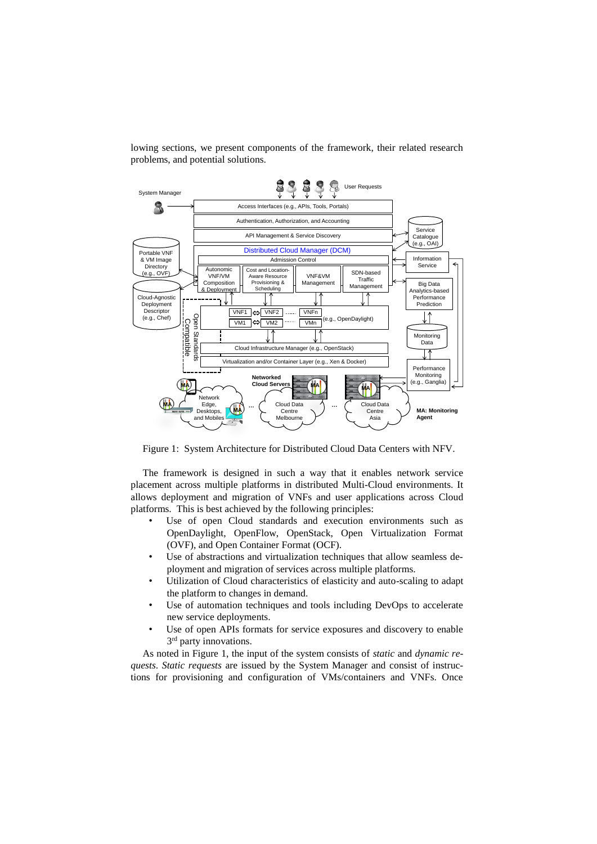

lowing sections, we present components of the framework, their related research problems, and potential solutions.

Figure 1: System Architecture for Distributed Cloud Data Centers with NFV.

The framework is designed in such a way that it enables network service placement across multiple platforms in distributed Multi-Cloud environments. It allows deployment and migration of VNFs and user applications across Cloud platforms. This is best achieved by the following principles:

- Use of open Cloud standards and execution environments such as OpenDaylight, OpenFlow, OpenStack, Open Virtualization Format (OVF), and Open Container Format (OCF).
- Use of abstractions and virtualization techniques that allow seamless deployment and migration of services across multiple platforms.
- Utilization of Cloud characteristics of elasticity and auto-scaling to adapt the platform to changes in demand.
- Use of automation techniques and tools including DevOps to accelerate new service deployments.
- Use of open APIs formats for service exposures and discovery to enable 3<sup>rd</sup> party innovations.

As noted in Figure 1, the input of the system consists of *static* and *dynamic requests*. *Static requests* are issued by the System Manager and consist of instructions for provisioning and configuration of VMs/containers and VNFs. Once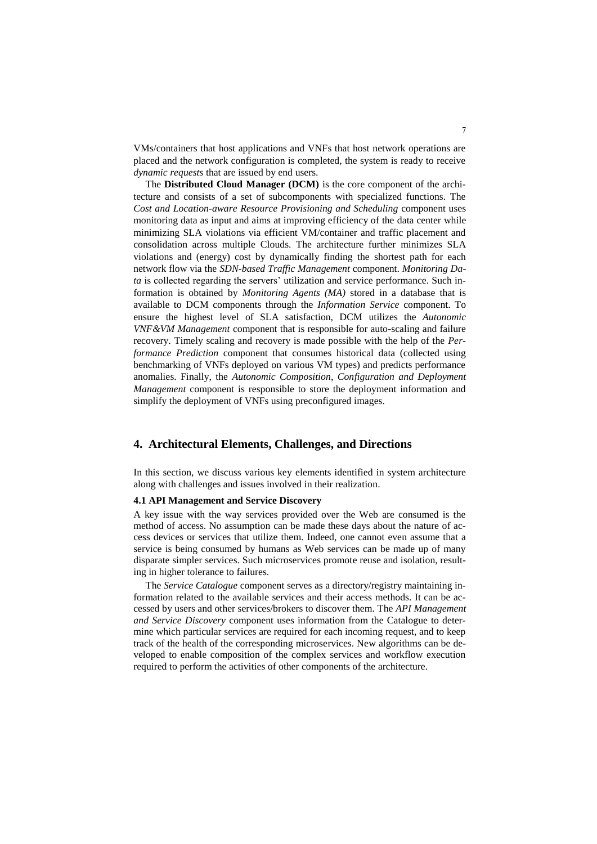VMs/containers that host applications and VNFs that host network operations are placed and the network configuration is completed, the system is ready to receive *dynamic requests* that are issued by end users.

The **Distributed Cloud Manager (DCM)** is the core component of the architecture and consists of a set of subcomponents with specialized functions. The *Cost and Location-aware Resource Provisioning and Scheduling* component uses monitoring data as input and aims at improving efficiency of the data center while minimizing SLA violations via efficient VM/container and traffic placement and consolidation across multiple Clouds. The architecture further minimizes SLA violations and (energy) cost by dynamically finding the shortest path for each network flow via the *SDN-based Traffic Management* component. *Monitoring Data* is collected regarding the servers' utilization and service performance. Such information is obtained by *Monitoring Agents (MA)* stored in a database that is available to DCM components through the *Information Service* component. To ensure the highest level of SLA satisfaction, DCM utilizes the *Autonomic VNF&VM Management* component that is responsible for auto-scaling and failure recovery. Timely scaling and recovery is made possible with the help of the *Performance Prediction* component that consumes historical data (collected using benchmarking of VNFs deployed on various VM types) and predicts performance anomalies. Finally, the *Autonomic Composition, Configuration and Deployment Management* component is responsible to store the deployment information and simplify the deployment of VNFs using preconfigured images.

## **4. Architectural Elements, Challenges, and Directions**

In this section, we discuss various key elements identified in system architecture along with challenges and issues involved in their realization.

#### **4.1 API Management and Service Discovery**

A key issue with the way services provided over the Web are consumed is the method of access. No assumption can be made these days about the nature of access devices or services that utilize them. Indeed, one cannot even assume that a service is being consumed by humans as Web services can be made up of many disparate simpler services. Such microservices promote reuse and isolation, resulting in higher tolerance to failures.

The *Service Catalogue* component serves as a directory/registry maintaining information related to the available services and their access methods. It can be accessed by users and other services/brokers to discover them. The *API Management and Service Discovery* component uses information from the Catalogue to determine which particular services are required for each incoming request, and to keep track of the health of the corresponding microservices. New algorithms can be developed to enable composition of the complex services and workflow execution required to perform the activities of other components of the architecture.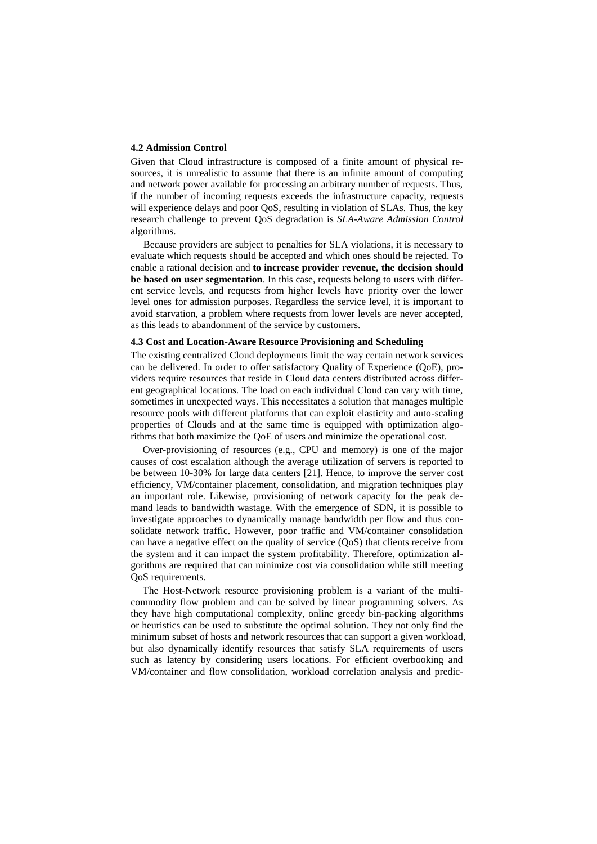## **4.2 Admission Control**

Given that Cloud infrastructure is composed of a finite amount of physical resources, it is unrealistic to assume that there is an infinite amount of computing and network power available for processing an arbitrary number of requests. Thus, if the number of incoming requests exceeds the infrastructure capacity, requests will experience delays and poor OoS, resulting in violation of SLAs. Thus, the key research challenge to prevent QoS degradation is *SLA-Aware Admission Control* algorithms.

 Because providers are subject to penalties for SLA violations, it is necessary to evaluate which requests should be accepted and which ones should be rejected. To enable a rational decision and **to increase provider revenue, the decision should be based on user segmentation**. In this case, requests belong to users with different service levels, and requests from higher levels have priority over the lower level ones for admission purposes. Regardless the service level, it is important to avoid starvation, a problem where requests from lower levels are never accepted, as this leads to abandonment of the service by customers.

#### **4.3 Cost and Location-Aware Resource Provisioning and Scheduling**

The existing centralized Cloud deployments limit the way certain network services can be delivered. In order to offer satisfactory Quality of Experience (QoE), providers require resources that reside in Cloud data centers distributed across different geographical locations. The load on each individual Cloud can vary with time, sometimes in unexpected ways. This necessitates a solution that manages multiple resource pools with different platforms that can exploit elasticity and auto-scaling properties of Clouds and at the same time is equipped with optimization algorithms that both maximize the QoE of users and minimize the operational cost.

Over-provisioning of resources (e.g., CPU and memory) is one of the major causes of cost escalation although the average utilization of servers is reported to be between 10-30% for large data centers [\[21\].](#page-15-11) Hence, to improve the server cost efficiency, VM/container placement, consolidation, and migration techniques play an important role. Likewise, provisioning of network capacity for the peak demand leads to bandwidth wastage. With the emergence of SDN, it is possible to investigate approaches to dynamically manage bandwidth per flow and thus consolidate network traffic. However, poor traffic and VM/container consolidation can have a negative effect on the quality of service (QoS) that clients receive from the system and it can impact the system profitability. Therefore, optimization algorithms are required that can minimize cost via consolidation while still meeting QoS requirements.

The Host-Network resource provisioning problem is a variant of the multicommodity flow problem and can be solved by linear programming solvers. As they have high computational complexity, online greedy bin-packing algorithms or heuristics can be used to substitute the optimal solution. They not only find the minimum subset of hosts and network resources that can support a given workload, but also dynamically identify resources that satisfy SLA requirements of users such as latency by considering users locations. For efficient overbooking and VM/container and flow consolidation, workload correlation analysis and predic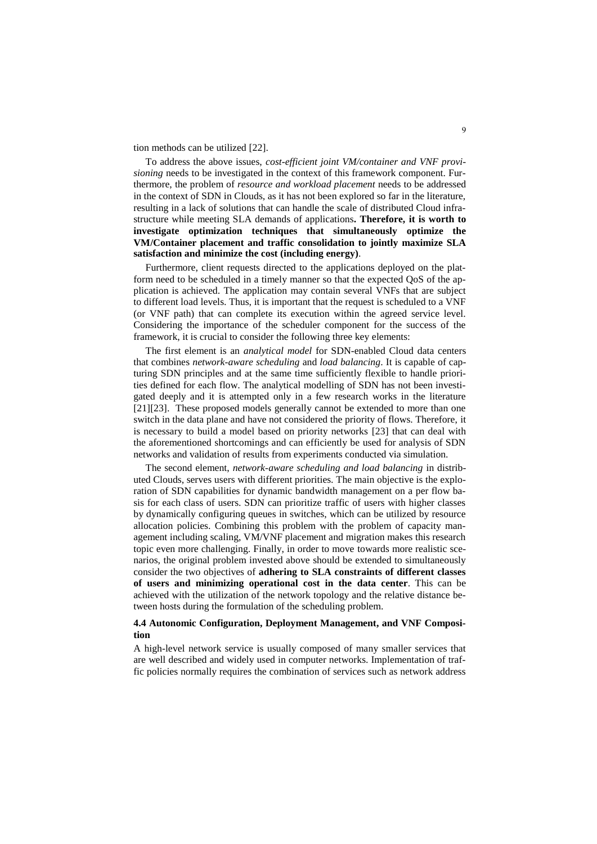tion methods can be utilized [\[22\].](#page-15-12)

To address the above issues, *cost-efficient joint VM/container and VNF provisioning* needs to be investigated in the context of this framework component. Furthermore, the problem of *resource and workload placement* needs to be addressed in the context of SDN in Clouds, as it has not been explored so far in the literature, resulting in a lack of solutions that can handle the scale of distributed Cloud infrastructure while meeting SLA demands of applications**. Therefore, it is worth to investigate optimization techniques that simultaneously optimize the VM/Container placement and traffic consolidation to jointly maximize SLA satisfaction and minimize the cost (including energy)**.

Furthermore, client requests directed to the applications deployed on the platform need to be scheduled in a timely manner so that the expected QoS of the application is achieved. The application may contain several VNFs that are subject to different load levels. Thus, it is important that the request is scheduled to a VNF (or VNF path) that can complete its execution within the agreed service level. Considering the importance of the scheduler component for the success of the framework, it is crucial to consider the following three key elements:

The first element is an *analytical model* for SDN-enabled Cloud data centers that combines *network-aware scheduling* and *load balancing*. It is capable of capturing SDN principles and at the same time sufficiently flexible to handle priorities defined for each flow. The analytical modelling of SDN has not been investigated deeply and it is attempted only in a few research works in the literature [\[21\]](#page-15-11)[\[23\].](#page-15-13) These proposed models generally cannot be extended to more than one switch in the data plane and have not considered the priority of flows. Therefore, it is necessary to build a model based on priority networks [\[23\]](#page-15-13) that can deal with the aforementioned shortcomings and can efficiently be used for analysis of SDN networks and validation of results from experiments conducted via simulation.

The second element, *network-aware scheduling and load balancing* in distributed Clouds, serves users with different priorities. The main objective is the exploration of SDN capabilities for dynamic bandwidth management on a per flow basis for each class of users. SDN can prioritize traffic of users with higher classes by dynamically configuring queues in switches, which can be utilized by resource allocation policies. Combining this problem with the problem of capacity management including scaling, VM/VNF placement and migration makes this research topic even more challenging. Finally, in order to move towards more realistic scenarios, the original problem invested above should be extended to simultaneously consider the two objectives of **adhering to SLA constraints of different classes of users and minimizing operational cost in the data center**. This can be achieved with the utilization of the network topology and the relative distance between hosts during the formulation of the scheduling problem.

### **4.4 Autonomic Configuration, Deployment Management, and VNF Composition**

A high-level network service is usually composed of many smaller services that are well described and widely used in computer networks. Implementation of traffic policies normally requires the combination of services such as network address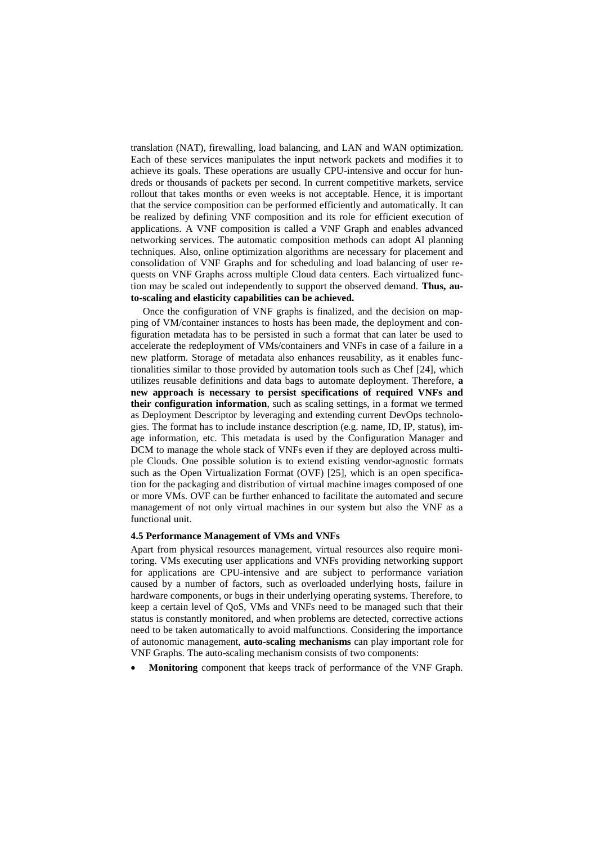translation (NAT), firewalling, load balancing, and LAN and WAN optimization. Each of these services manipulates the input network packets and modifies it to achieve its goals. These operations are usually CPU-intensive and occur for hundreds or thousands of packets per second. In current competitive markets, service rollout that takes months or even weeks is not acceptable. Hence, it is important that the service composition can be performed efficiently and automatically. It can be realized by defining VNF composition and its role for efficient execution of applications. A VNF composition is called a VNF Graph and enables advanced networking services. The automatic composition methods can adopt AI planning techniques. Also, online optimization algorithms are necessary for placement and consolidation of VNF Graphs and for scheduling and load balancing of user requests on VNF Graphs across multiple Cloud data centers. Each virtualized function may be scaled out independently to support the observed demand. **Thus, auto-scaling and elasticity capabilities can be achieved.**

Once the configuration of VNF graphs is finalized, and the decision on mapping of VM/container instances to hosts has been made, the deployment and configuration metadata has to be persisted in such a format that can later be used to accelerate the redeployment of VMs/containers and VNFs in case of a failure in a new platform. Storage of metadata also enhances reusability, as it enables functionalities similar to those provided by automation tools such as Chef [\[24\],](#page-15-14) which utilizes reusable definitions and data bags to automate deployment. Therefore, **a new approach is necessary to persist specifications of required VNFs and their configuration information**, such as scaling settings, in a format we termed as Deployment Descriptor by leveraging and extending current DevOps technologies. The format has to include instance description (e.g. name, ID, IP, status), image information, etc. This metadata is used by the Configuration Manager and DCM to manage the whole stack of VNFs even if they are deployed across multiple Clouds. One possible solution is to extend existing vendor-agnostic formats such as the Open Virtualization Format (OVF) [\[25\],](#page-15-15) which is an open specification for the packaging and distribution of virtual machine images composed of one or more VMs. OVF can be further enhanced to facilitate the automated and secure management of not only virtual machines in our system but also the VNF as a functional unit.

## **4.5 Performance Management of VMs and VNFs**

Apart from physical resources management, virtual resources also require monitoring. VMs executing user applications and VNFs providing networking support for applications are CPU-intensive and are subject to performance variation caused by a number of factors, such as overloaded underlying hosts, failure in hardware components, or bugs in their underlying operating systems. Therefore, to keep a certain level of QoS, VMs and VNFs need to be managed such that their status is constantly monitored, and when problems are detected, corrective actions need to be taken automatically to avoid malfunctions. Considering the importance of autonomic management, **auto-scaling mechanisms** can play important role for VNF Graphs. The auto-scaling mechanism consists of two components:

**Monitoring** component that keeps track of performance of the VNF Graph.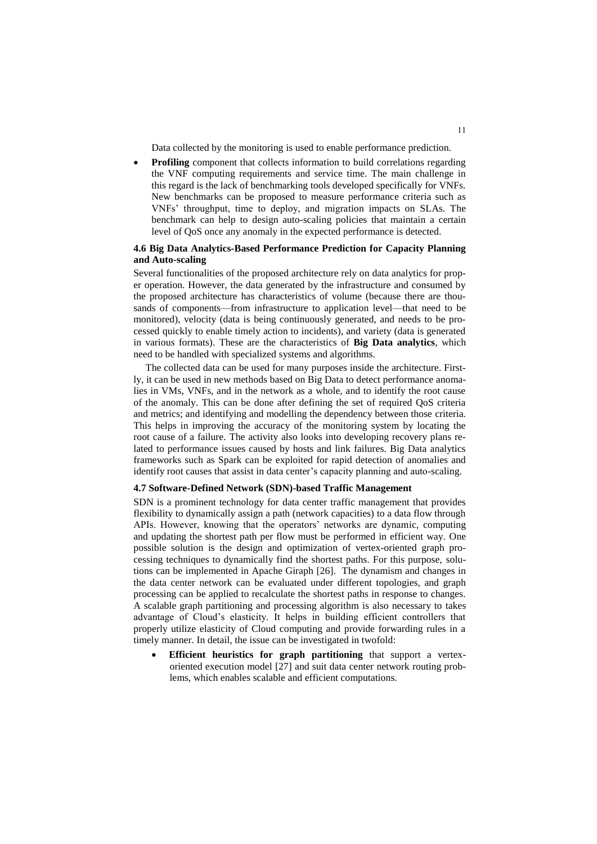Data collected by the monitoring is used to enable performance prediction.

**Profiling** component that collects information to build correlations regarding the VNF computing requirements and service time. The main challenge in this regard is the lack of benchmarking tools developed specifically for VNFs. New benchmarks can be proposed to measure performance criteria such as VNFs' throughput, time to deploy, and migration impacts on SLAs. The benchmark can help to design auto-scaling policies that maintain a certain level of QoS once any anomaly in the expected performance is detected.

## **4.6 Big Data Analytics-Based Performance Prediction for Capacity Planning and Auto-scaling**

Several functionalities of the proposed architecture rely on data analytics for proper operation. However, the data generated by the infrastructure and consumed by the proposed architecture has characteristics of volume (because there are thousands of components—from infrastructure to application level—that need to be monitored), velocity (data is being continuously generated, and needs to be processed quickly to enable timely action to incidents), and variety (data is generated in various formats). These are the characteristics of **Big Data analytics***,* which need to be handled with specialized systems and algorithms.

The collected data can be used for many purposes inside the architecture. Firstly, it can be used in new methods based on Big Data to detect performance anomalies in VMs, VNFs, and in the network as a whole, and to identify the root cause of the anomaly. This can be done after defining the set of required QoS criteria and metrics; and identifying and modelling the dependency between those criteria. This helps in improving the accuracy of the monitoring system by locating the root cause of a failure. The activity also looks into developing recovery plans related to performance issues caused by hosts and link failures. Big Data analytics frameworks such as Spark can be exploited for rapid detection of anomalies and identify root causes that assist in data center's capacity planning and auto-scaling.

## **4.7 Software-Defined Network (SDN)-based Traffic Management**

SDN is a prominent technology for data center traffic management that provides flexibility to dynamically assign a path (network capacities) to a data flow through APIs. However, knowing that the operators' networks are dynamic, computing and updating the shortest path per flow must be performed in efficient way. One possible solution is the design and optimization of vertex-oriented graph processing techniques to dynamically find the shortest paths. For this purpose, solutions can be implemented in Apache Giraph [\[26\].](#page-15-16) The dynamism and changes in the data center network can be evaluated under different topologies, and graph processing can be applied to recalculate the shortest paths in response to changes. A scalable graph partitioning and processing algorithm is also necessary to takes advantage of Cloud's elasticity. It helps in building efficient controllers that properly utilize elasticity of Cloud computing and provide forwarding rules in a timely manner. In detail, the issue can be investigated in twofold:

 **Efficient heuristics for graph partitioning** that support a vertexoriented execution model [\[27\]](#page-15-17) and suit data center network routing problems, which enables scalable and efficient computations.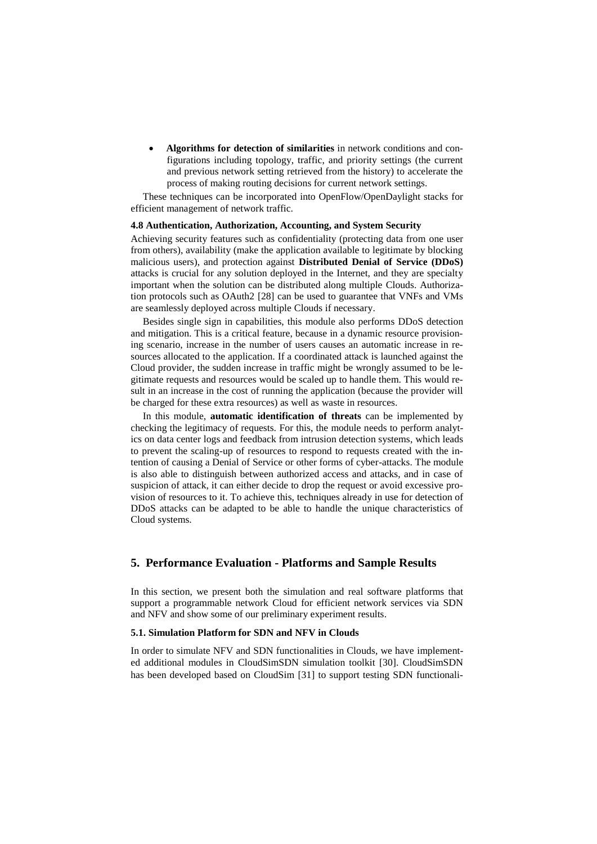**Algorithms for detection of similarities** in network conditions and configurations including topology, traffic, and priority settings (the current and previous network setting retrieved from the history) to accelerate the process of making routing decisions for current network settings.

These techniques can be incorporated into OpenFlow/OpenDaylight stacks for efficient management of network traffic.

## **4.8 Authentication, Authorization, Accounting, and System Security**

Achieving security features such as confidentiality (protecting data from one user from others), availability (make the application available to legitimate by blocking malicious users), and protection against **Distributed Denial of Service (DDoS)** attacks is crucial for any solution deployed in the Internet, and they are specialty important when the solution can be distributed along multiple Clouds. Authorization protocols such as OAuth2 [\[28\]](#page-15-18) can be used to guarantee that VNFs and VMs are seamlessly deployed across multiple Clouds if necessary.

Besides single sign in capabilities, this module also performs DDoS detection and mitigation. This is a critical feature, because in a dynamic resource provisioning scenario, increase in the number of users causes an automatic increase in resources allocated to the application. If a coordinated attack is launched against the Cloud provider, the sudden increase in traffic might be wrongly assumed to be legitimate requests and resources would be scaled up to handle them. This would result in an increase in the cost of running the application (because the provider will be charged for these extra resources) as well as waste in resources.

In this module, **automatic identification of threats** can be implemented by checking the legitimacy of requests. For this, the module needs to perform analytics on data center logs and feedback from intrusion detection systems, which leads to prevent the scaling-up of resources to respond to requests created with the intention of causing a Denial of Service or other forms of cyber-attacks. The module is also able to distinguish between authorized access and attacks, and in case of suspicion of attack, it can either decide to drop the request or avoid excessive provision of resources to it. To achieve this, techniques already in use for detection of DDoS attacks can be adapted to be able to handle the unique characteristics of Cloud systems.

# **5. Performance Evaluation - Platforms and Sample Results**

In this section, we present both the simulation and real software platforms that support a programmable network Cloud for efficient network services via SDN and NFV and show some of our preliminary experiment results.

## **5.1. Simulation Platform for SDN and NFV in Clouds**

In order to simulate NFV and SDN functionalities in Clouds, we have implemented additional modules in CloudSimSDN simulation toolkit [\[30\].](#page-15-19) CloudSimSDN has been developed based on CloudSim [\[31\]](#page-15-20) to support testing SDN functionali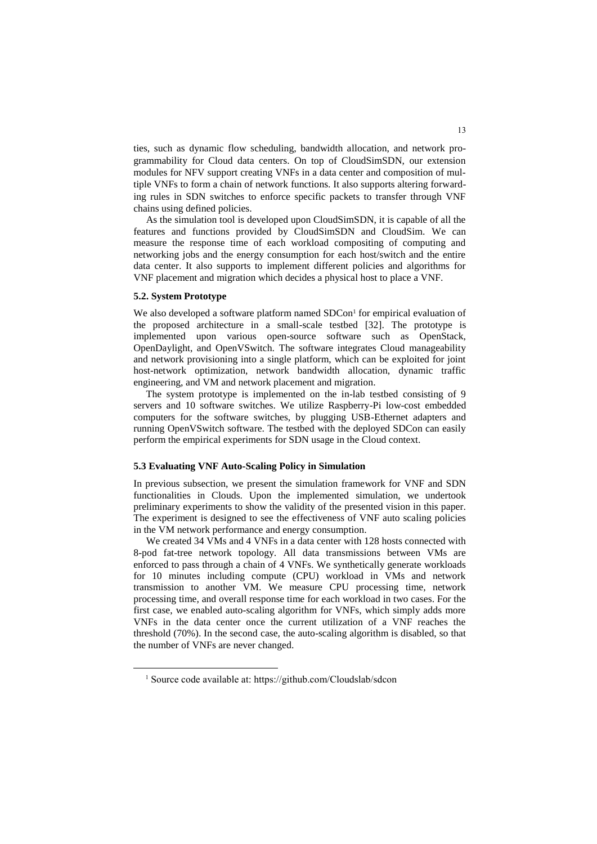ties, such as dynamic flow scheduling, bandwidth allocation, and network programmability for Cloud data centers. On top of CloudSimSDN, our extension modules for NFV support creating VNFs in a data center and composition of multiple VNFs to form a chain of network functions. It also supports altering forwarding rules in SDN switches to enforce specific packets to transfer through VNF chains using defined policies.

 As the simulation tool is developed upon CloudSimSDN, it is capable of all the features and functions provided by CloudSimSDN and CloudSim. We can measure the response time of each workload compositing of computing and networking jobs and the energy consumption for each host/switch and the entire data center. It also supports to implement different policies and algorithms for VNF placement and migration which decides a physical host to place a VNF.

#### **5.2. System Prototype**

-

We also developed a software platform named SDCon<sup>1</sup> for empirical evaluation of the proposed architecture in a small-scale testbed [\[32\].](#page-15-21) The prototype is implemented upon various open-source software such as OpenStack, OpenDaylight, and OpenVSwitch. The software integrates Cloud manageability and network provisioning into a single platform, which can be exploited for joint host-network optimization, network bandwidth allocation, dynamic traffic engineering, and VM and network placement and migration.

 The system prototype is implemented on the in-lab testbed consisting of 9 servers and 10 software switches. We utilize Raspberry-Pi low-cost embedded computers for the software switches, by plugging USB-Ethernet adapters and running OpenVSwitch software. The testbed with the deployed SDCon can easily perform the empirical experiments for SDN usage in the Cloud context.

#### **5.3 Evaluating VNF Auto-Scaling Policy in Simulation**

In previous subsection, we present the simulation framework for VNF and SDN functionalities in Clouds. Upon the implemented simulation, we undertook preliminary experiments to show the validity of the presented vision in this paper. The experiment is designed to see the effectiveness of VNF auto scaling policies in the VM network performance and energy consumption.

 We created 34 VMs and 4 VNFs in a data center with 128 hosts connected with 8-pod fat-tree network topology. All data transmissions between VMs are enforced to pass through a chain of 4 VNFs. We synthetically generate workloads for 10 minutes including compute (CPU) workload in VMs and network transmission to another VM. We measure CPU processing time, network processing time, and overall response time for each workload in two cases. For the first case, we enabled auto-scaling algorithm for VNFs, which simply adds more VNFs in the data center once the current utilization of a VNF reaches the threshold (70%). In the second case, the auto-scaling algorithm is disabled, so that the number of VNFs are never changed.

<sup>1</sup> Source code available at: https://github.com/Cloudslab/sdcon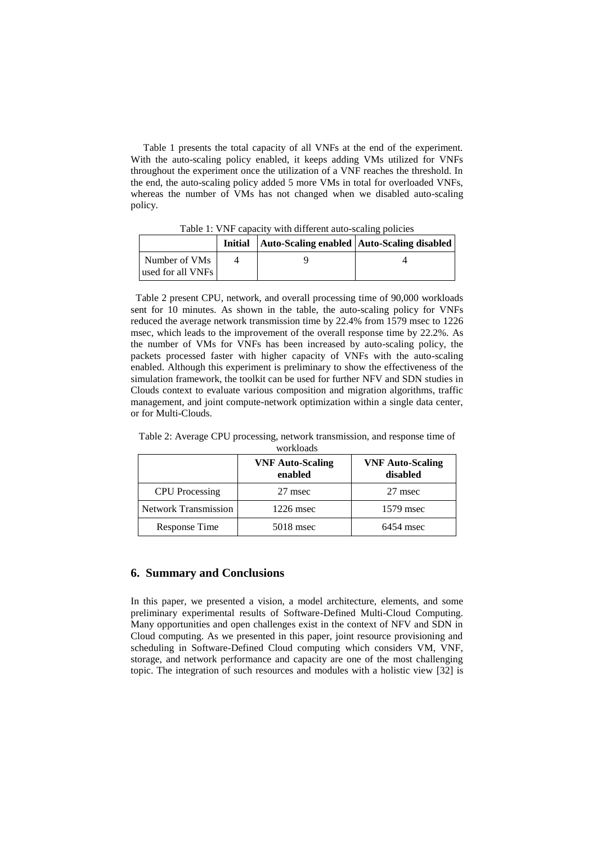Table 1 presents the total capacity of all VNFs at the end of the experiment. With the auto-scaling policy enabled, it keeps adding VMs utilized for VNFs throughout the experiment once the utilization of a VNF reaches the threshold. In the end, the auto-scaling policy added 5 more VMs in total for overloaded VNFs, whereas the number of VMs has not changed when we disabled auto-scaling policy.

|                                    | <b>Initial</b> | Auto-Scaling enabled Auto-Scaling disabled |
|------------------------------------|----------------|--------------------------------------------|
| Number of VMs<br>used for all VNFs |                |                                            |

Table 1: VNF capacity with different auto-scaling policies

 Table 2 present CPU, network, and overall processing time of 90,000 workloads sent for 10 minutes. As shown in the table, the auto-scaling policy for VNFs reduced the average network transmission time by 22.4% from 1579 msec to 1226 msec, which leads to the improvement of the overall response time by 22.2%. As the number of VMs for VNFs has been increased by auto-scaling policy, the packets processed faster with higher capacity of VNFs with the auto-scaling enabled. Although this experiment is preliminary to show the effectiveness of the simulation framework, the toolkit can be used for further NFV and SDN studies in Clouds context to evaluate various composition and migration algorithms, traffic management, and joint compute-network optimization within a single data center, or for Multi-Clouds.

| Table 2: Average CPU processing, network transmission, and response time of |  |  |  |  |  |
|-----------------------------------------------------------------------------|--|--|--|--|--|
| workloads                                                                   |  |  |  |  |  |
|                                                                             |  |  |  |  |  |

|                             | <b>VNF Auto-Scaling</b><br>enabled | <b>VNF Auto-Scaling</b><br>disabled |
|-----------------------------|------------------------------------|-------------------------------------|
| <b>CPU</b> Processing       | 27 msec                            | 27 msec                             |
| <b>Network Transmission</b> | $1226$ msec                        | $1579$ msec                         |
| Response Time               | $5018$ msec                        | 6454 msec                           |

## **6. Summary and Conclusions**

In this paper, we presented a vision, a model architecture, elements, and some preliminary experimental results of Software-Defined Multi-Cloud Computing. Many opportunities and open challenges exist in the context of NFV and SDN in Cloud computing. As we presented in this paper, joint resource provisioning and scheduling in Software-Defined Cloud computing which considers VM, VNF, storage, and network performance and capacity are one of the most challenging topic. The integration of such resources and modules with a holistic view [\[32\]](#page-15-21) is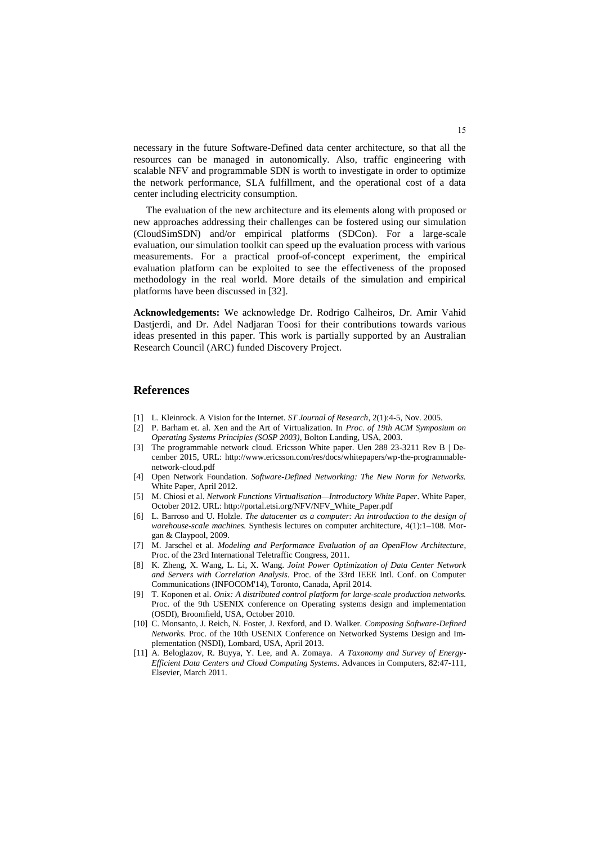necessary in the future Software-Defined data center architecture, so that all the resources can be managed in autonomically. Also, traffic engineering with scalable NFV and programmable SDN is worth to investigate in order to optimize the network performance, SLA fulfillment, and the operational cost of a data center including electricity consumption.

 The evaluation of the new architecture and its elements along with proposed or new approaches addressing their challenges can be fostered using our simulation (CloudSimSDN) and/or empirical platforms (SDCon). For a large-scale evaluation, our simulation toolkit can speed up the evaluation process with various measurements. For a practical proof-of-concept experiment, the empirical evaluation platform can be exploited to see the effectiveness of the proposed methodology in the real world. More details of the simulation and empirical platforms have been discussed in [\[32\].](#page-15-21)

**Acknowledgements:** We acknowledge Dr. Rodrigo Calheiros, Dr. Amir Vahid Dastjerdi, and Dr. Adel Nadjaran Toosi for their contributions towards various ideas presented in this paper. This work is partially supported by an Australian Research Council (ARC) funded Discovery Project.

## **References**

- <span id="page-14-0"></span>[1] L. Kleinrock. A Vision for the Internet. *ST Journal of Research*, 2(1):4-5, Nov. 2005.
- <span id="page-14-1"></span>[2] P. Barham et. al. Xen and the Art of Virtualization. In *Proc. of 19th ACM Symposium on Operating Systems Principles (SOSP 2003)*, Bolton Landing, USA, 2003.
- <span id="page-14-2"></span>[3] The programmable network cloud. Ericsson White paper. Uen 288 23-3211 Rev B | December 2015, URL: http://www.ericsson.com/res/docs/whitepapers/wp-the-programmablenetwork-cloud.pdf
- <span id="page-14-3"></span>[4] Open Network Foundation. *Software-Defined Networking: The New Norm for Networks.*  White Paper, April 2012.
- <span id="page-14-4"></span>[5] M. Chiosi et al. *Network Functions Virtualisation—Introductory White Paper*. White Paper, October 2012. URL: http://portal.etsi.org/NFV/NFV\_White\_Paper.pdf
- <span id="page-14-5"></span>[6] L. Barroso and U. Holzle. *The datacenter as a computer: An introduction to the design of warehouse-scale machines.* Synthesis lectures on computer architecture, 4(1):1–108. Morgan & Claypool, 2009.
- <span id="page-14-6"></span>[7] M. Jarschel et al. *Modeling and Performance Evaluation of an OpenFlow Architecture*, Proc. of the 23rd International Teletraffic Congress, 2011.
- <span id="page-14-10"></span>[8] K. Zheng, X. Wang, L. Li, X. Wang. *Joint Power Optimization of Data Center Network and Servers with Correlation Analysis.* Proc. of the 33rd IEEE Intl. Conf. on Computer Communications (INFOCOM'14), Toronto, Canada, April 2014.
- <span id="page-14-7"></span>[9] T. Koponen et al. *Onix: A distributed control platform for large-scale production networks.* Proc. of the 9th USENIX conference on Operating systems design and implementation (OSDI), Broomfield, USA, October 2010.
- <span id="page-14-8"></span>[10] C. Monsanto, J. Reich, N. Foster, J. Rexford, and D. Walker. *Composing Software-Defined Networks.* Proc. of the 10th USENIX Conference on Networked Systems Design and Implementation (NSDI), Lombard, USA, April 2013.
- <span id="page-14-9"></span>[11] A. Beloglazov, R. Buyya, Y. Lee, and A. Zomaya*. A Taxonomy and Survey of Energy-Efficient Data Centers and Cloud Computing Systems*. Advances in Computers, 82:47-111, Elsevier, March 2011.